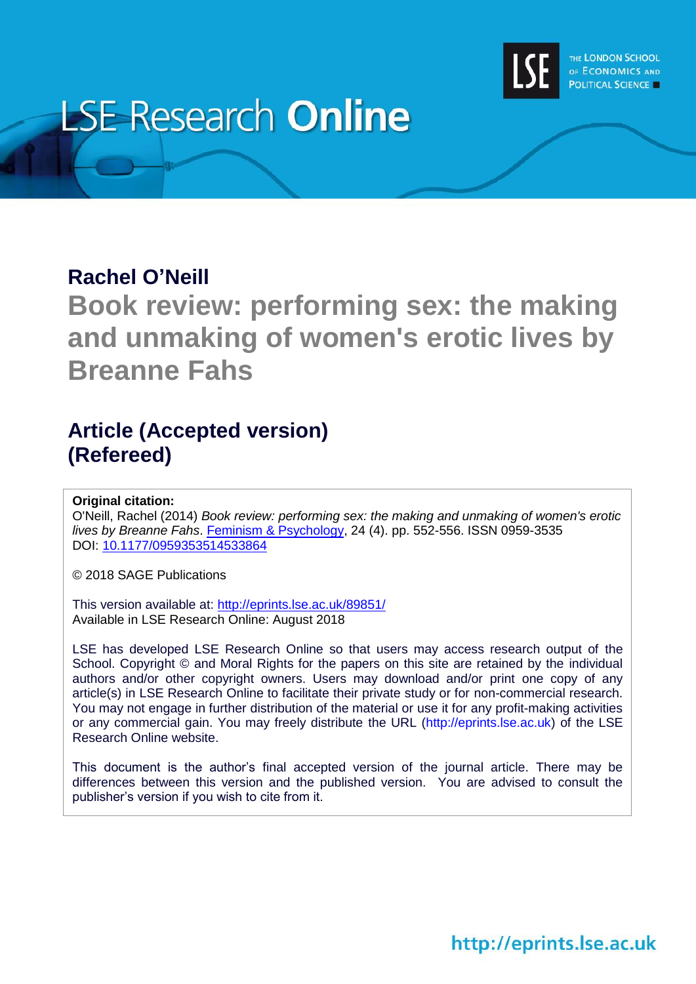

# **LSE Research Online**

# **Rachel O'Neill**

**Book review: performing sex: the making and unmaking of women's erotic lives by Breanne Fahs**

# **Article (Accepted version) (Refereed)**

## **Original citation:**

O'Neill, Rachel (2014) *Book review: performing sex: the making and unmaking of women's erotic lives by Breanne Fahs*. [Feminism & Psychology,](http://journals.sagepub.com/home/fap) 24 (4). pp. 552-556. ISSN 0959-3535 DOI: [10.1177/0959353514533864](http://doi.org/10.1177/0959353514533864)

© 2018 SAGE Publications

This version available at:<http://eprints.lse.ac.uk/89851/> Available in LSE Research Online: August 2018

LSE has developed LSE Research Online so that users may access research output of the School. Copyright © and Moral Rights for the papers on this site are retained by the individual authors and/or other copyright owners. Users may download and/or print one copy of any article(s) in LSE Research Online to facilitate their private study or for non-commercial research. You may not engage in further distribution of the material or use it for any profit-making activities or any commercial gain. You may freely distribute the URL (http://eprints.lse.ac.uk) of the LSE Research Online website.

This document is the author's final accepted version of the journal article. There may be differences between this version and the published version. You are advised to consult the publisher's version if you wish to cite from it.

http://eprints.lse.ac.uk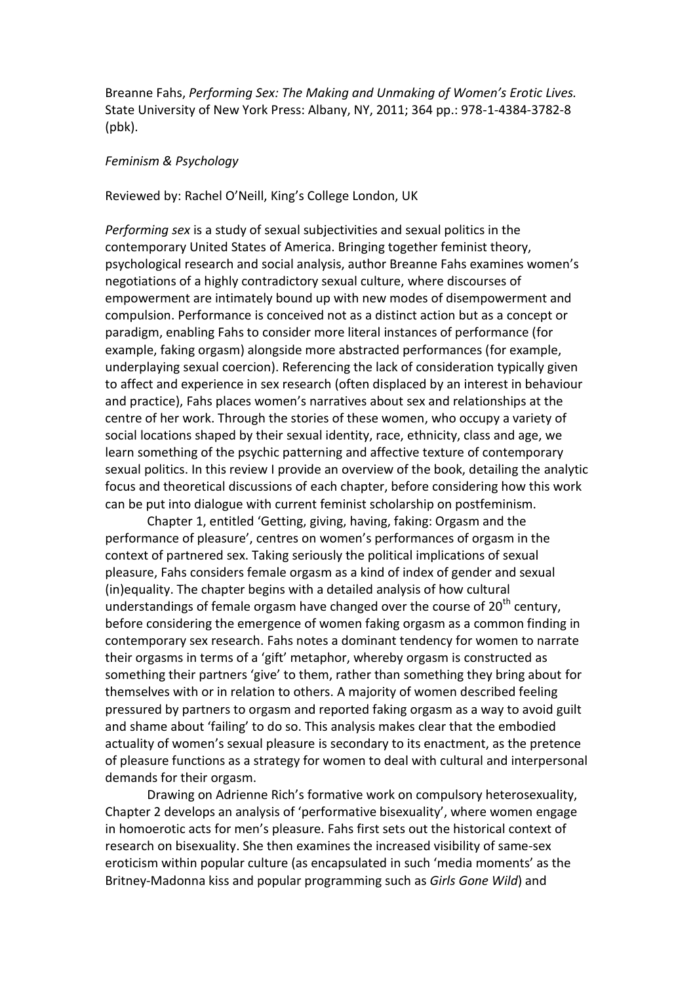Breanne Fahs, *Performing Sex: The Making and Unmaking of Women's Erotic Lives.*  State University of New York Press: Albany, NY, 2011; 364 pp.: 978-1-4384-3782-8 (pbk).

### *Feminism & Psychology*

Reviewed by: Rachel O'Neill, King's College London, UK

*Performing sex* is a study of sexual subjectivities and sexual politics in the contemporary United States of America. Bringing together feminist theory, psychological research and social analysis, author Breanne Fahs examines women's negotiations of a highly contradictory sexual culture, where discourses of empowerment are intimately bound up with new modes of disempowerment and compulsion. Performance is conceived not as a distinct action but as a concept or paradigm, enabling Fahs to consider more literal instances of performance (for example, faking orgasm) alongside more abstracted performances (for example, underplaying sexual coercion). Referencing the lack of consideration typically given to affect and experience in sex research (often displaced by an interest in behaviour and practice), Fahs places women's narratives about sex and relationships at the centre of her work. Through the stories of these women, who occupy a variety of social locations shaped by their sexual identity, race, ethnicity, class and age, we learn something of the psychic patterning and affective texture of contemporary sexual politics. In this review I provide an overview of the book, detailing the analytic focus and theoretical discussions of each chapter, before considering how this work can be put into dialogue with current feminist scholarship on postfeminism.

Chapter 1, entitled 'Getting, giving, having, faking: Orgasm and the performance of pleasure', centres on women's performances of orgasm in the context of partnered sex. Taking seriously the political implications of sexual pleasure, Fahs considers female orgasm as a kind of index of gender and sexual (in)equality. The chapter begins with a detailed analysis of how cultural understandings of female orgasm have changed over the course of 20<sup>th</sup> century, before considering the emergence of women faking orgasm as a common finding in contemporary sex research. Fahs notes a dominant tendency for women to narrate their orgasms in terms of a 'gift' metaphor, whereby orgasm is constructed as something their partners 'give' to them, rather than something they bring about for themselves with or in relation to others. A majority of women described feeling pressured by partners to orgasm and reported faking orgasm as a way to avoid guilt and shame about 'failing' to do so. This analysis makes clear that the embodied actuality of women's sexual pleasure is secondary to its enactment, as the pretence of pleasure functions as a strategy for women to deal with cultural and interpersonal demands for their orgasm.

Drawing on Adrienne Rich's formative work on compulsory heterosexuality, Chapter 2 develops an analysis of 'performative bisexuality', where women engage in homoerotic acts for men's pleasure. Fahs first sets out the historical context of research on bisexuality. She then examines the increased visibility of same-sex eroticism within popular culture (as encapsulated in such 'media moments' as the Britney-Madonna kiss and popular programming such as *Girls Gone Wild*) and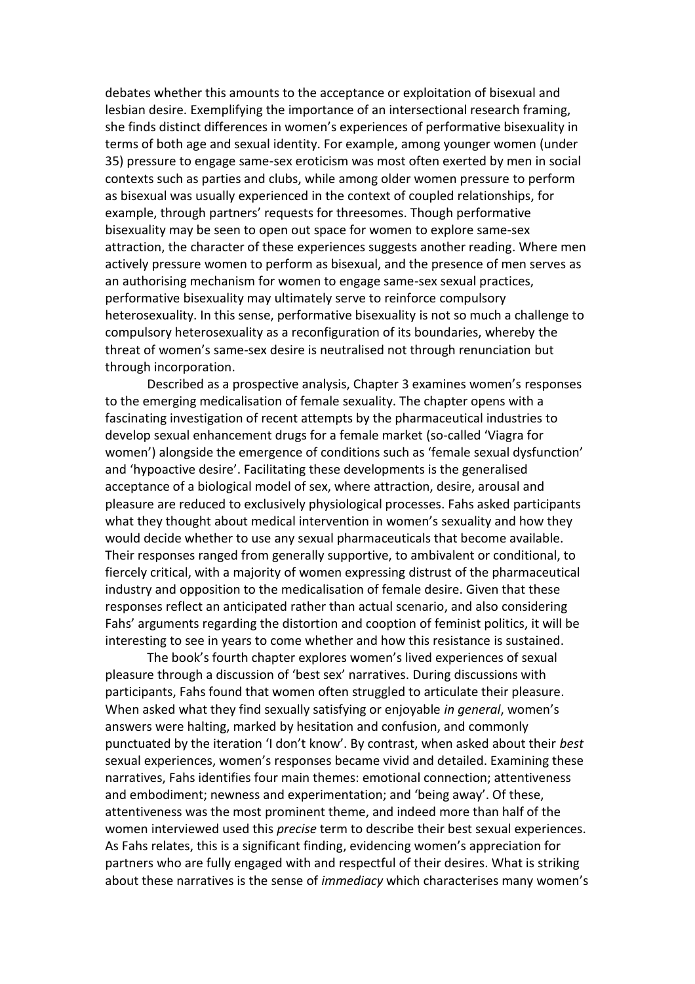debates whether this amounts to the acceptance or exploitation of bisexual and lesbian desire. Exemplifying the importance of an intersectional research framing, she finds distinct differences in women's experiences of performative bisexuality in terms of both age and sexual identity. For example, among younger women (under 35) pressure to engage same-sex eroticism was most often exerted by men in social contexts such as parties and clubs, while among older women pressure to perform as bisexual was usually experienced in the context of coupled relationships, for example, through partners' requests for threesomes. Though performative bisexuality may be seen to open out space for women to explore same-sex attraction, the character of these experiences suggests another reading. Where men actively pressure women to perform as bisexual, and the presence of men serves as an authorising mechanism for women to engage same-sex sexual practices, performative bisexuality may ultimately serve to reinforce compulsory heterosexuality. In this sense, performative bisexuality is not so much a challenge to compulsory heterosexuality as a reconfiguration of its boundaries, whereby the threat of women's same-sex desire is neutralised not through renunciation but through incorporation.

Described as a prospective analysis, Chapter 3 examines women's responses to the emerging medicalisation of female sexuality. The chapter opens with a fascinating investigation of recent attempts by the pharmaceutical industries to develop sexual enhancement drugs for a female market (so-called 'Viagra for women') alongside the emergence of conditions such as 'female sexual dysfunction' and 'hypoactive desire'. Facilitating these developments is the generalised acceptance of a biological model of sex, where attraction, desire, arousal and pleasure are reduced to exclusively physiological processes. Fahs asked participants what they thought about medical intervention in women's sexuality and how they would decide whether to use any sexual pharmaceuticals that become available. Their responses ranged from generally supportive, to ambivalent or conditional, to fiercely critical, with a majority of women expressing distrust of the pharmaceutical industry and opposition to the medicalisation of female desire. Given that these responses reflect an anticipated rather than actual scenario, and also considering Fahs' arguments regarding the distortion and cooption of feminist politics, it will be interesting to see in years to come whether and how this resistance is sustained.

The book's fourth chapter explores women's lived experiences of sexual pleasure through a discussion of 'best sex' narratives. During discussions with participants, Fahs found that women often struggled to articulate their pleasure. When asked what they find sexually satisfying or enjoyable *in general*, women's answers were halting, marked by hesitation and confusion, and commonly punctuated by the iteration 'I don't know'. By contrast, when asked about their *best* sexual experiences, women's responses became vivid and detailed. Examining these narratives, Fahs identifies four main themes: emotional connection; attentiveness and embodiment; newness and experimentation; and 'being away'. Of these, attentiveness was the most prominent theme, and indeed more than half of the women interviewed used this *precise* term to describe their best sexual experiences. As Fahs relates, this is a significant finding, evidencing women's appreciation for partners who are fully engaged with and respectful of their desires. What is striking about these narratives is the sense of *immediacy* which characterises many women's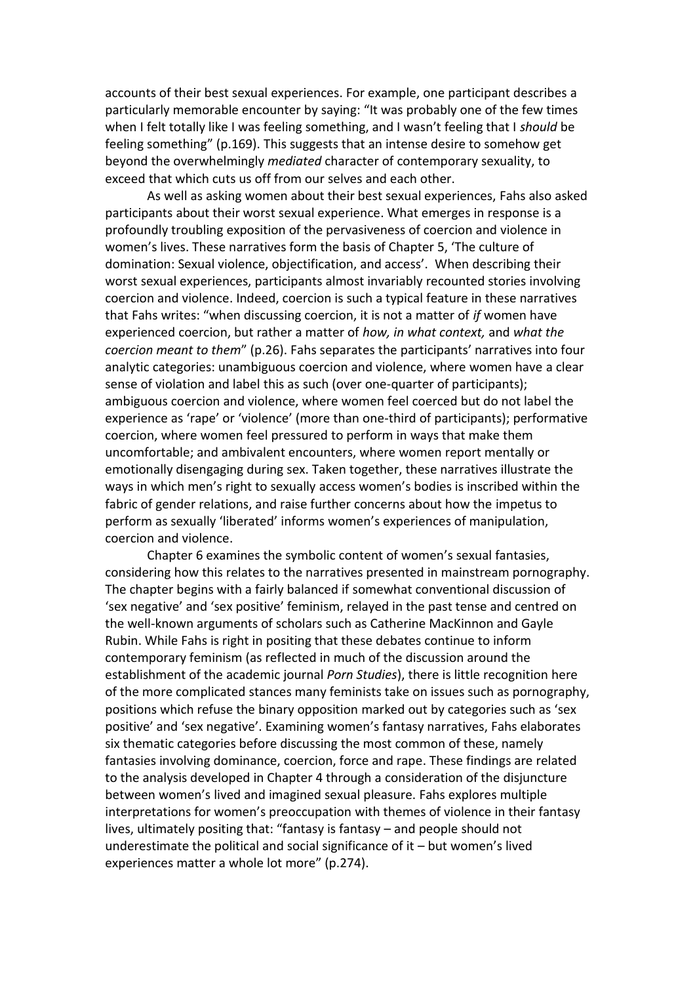accounts of their best sexual experiences. For example, one participant describes a particularly memorable encounter by saying: "It was probably one of the few times when I felt totally like I was feeling something, and I wasn't feeling that I *should* be feeling something" (p.169). This suggests that an intense desire to somehow get beyond the overwhelmingly *mediated* character of contemporary sexuality, to exceed that which cuts us off from our selves and each other.

As well as asking women about their best sexual experiences, Fahs also asked participants about their worst sexual experience. What emerges in response is a profoundly troubling exposition of the pervasiveness of coercion and violence in women's lives. These narratives form the basis of Chapter 5, 'The culture of domination: Sexual violence, objectification, and access'. When describing their worst sexual experiences, participants almost invariably recounted stories involving coercion and violence. Indeed, coercion is such a typical feature in these narratives that Fahs writes: "when discussing coercion, it is not a matter of *if* women have experienced coercion, but rather a matter of *how, in what context,* and *what the coercion meant to them*" (p.26). Fahs separates the participants' narratives into four analytic categories: unambiguous coercion and violence, where women have a clear sense of violation and label this as such (over one-quarter of participants); ambiguous coercion and violence, where women feel coerced but do not label the experience as 'rape' or 'violence' (more than one-third of participants); performative coercion, where women feel pressured to perform in ways that make them uncomfortable; and ambivalent encounters, where women report mentally or emotionally disengaging during sex. Taken together, these narratives illustrate the ways in which men's right to sexually access women's bodies is inscribed within the fabric of gender relations, and raise further concerns about how the impetus to perform as sexually 'liberated' informs women's experiences of manipulation, coercion and violence.

Chapter 6 examines the symbolic content of women's sexual fantasies, considering how this relates to the narratives presented in mainstream pornography. The chapter begins with a fairly balanced if somewhat conventional discussion of 'sex negative' and 'sex positive' feminism, relayed in the past tense and centred on the well-known arguments of scholars such as Catherine MacKinnon and Gayle Rubin. While Fahs is right in positing that these debates continue to inform contemporary feminism (as reflected in much of the discussion around the establishment of the academic journal *Porn Studies*), there is little recognition here of the more complicated stances many feminists take on issues such as pornography, positions which refuse the binary opposition marked out by categories such as 'sex positive' and 'sex negative'. Examining women's fantasy narratives, Fahs elaborates six thematic categories before discussing the most common of these, namely fantasies involving dominance, coercion, force and rape. These findings are related to the analysis developed in Chapter 4 through a consideration of the disjuncture between women's lived and imagined sexual pleasure. Fahs explores multiple interpretations for women's preoccupation with themes of violence in their fantasy lives, ultimately positing that: "fantasy is fantasy – and people should not underestimate the political and social significance of it – but women's lived experiences matter a whole lot more" (p.274).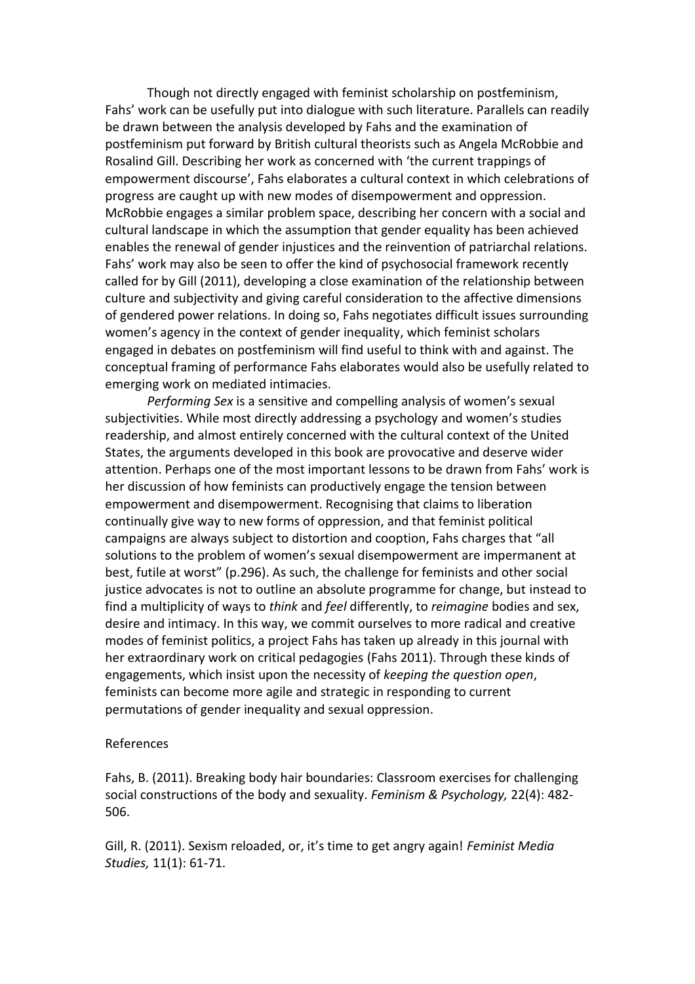Though not directly engaged with feminist scholarship on postfeminism, Fahs' work can be usefully put into dialogue with such literature. Parallels can readily be drawn between the analysis developed by Fahs and the examination of postfeminism put forward by British cultural theorists such as Angela McRobbie and Rosalind Gill. Describing her work as concerned with 'the current trappings of empowerment discourse', Fahs elaborates a cultural context in which celebrations of progress are caught up with new modes of disempowerment and oppression. McRobbie engages a similar problem space, describing her concern with a social and cultural landscape in which the assumption that gender equality has been achieved enables the renewal of gender injustices and the reinvention of patriarchal relations. Fahs' work may also be seen to offer the kind of psychosocial framework recently called for by Gill (2011), developing a close examination of the relationship between culture and subjectivity and giving careful consideration to the affective dimensions of gendered power relations. In doing so, Fahs negotiates difficult issues surrounding women's agency in the context of gender inequality, which feminist scholars engaged in debates on postfeminism will find useful to think with and against. The conceptual framing of performance Fahs elaborates would also be usefully related to emerging work on mediated intimacies.

*Performing Sex* is a sensitive and compelling analysis of women's sexual subjectivities. While most directly addressing a psychology and women's studies readership, and almost entirely concerned with the cultural context of the United States, the arguments developed in this book are provocative and deserve wider attention. Perhaps one of the most important lessons to be drawn from Fahs' work is her discussion of how feminists can productively engage the tension between empowerment and disempowerment. Recognising that claims to liberation continually give way to new forms of oppression, and that feminist political campaigns are always subject to distortion and cooption, Fahs charges that "all solutions to the problem of women's sexual disempowerment are impermanent at best, futile at worst" (p.296). As such, the challenge for feminists and other social justice advocates is not to outline an absolute programme for change, but instead to find a multiplicity of ways to *think* and *feel* differently, to *reimagine* bodies and sex, desire and intimacy. In this way, we commit ourselves to more radical and creative modes of feminist politics, a project Fahs has taken up already in this journal with her extraordinary work on critical pedagogies (Fahs 2011). Through these kinds of engagements, which insist upon the necessity of *keeping the question open*, feminists can become more agile and strategic in responding to current permutations of gender inequality and sexual oppression.

### References

Fahs, B. (2011). Breaking body hair boundaries: Classroom exercises for challenging social constructions of the body and sexuality. *Feminism & Psychology,* 22(4): 482- 506.

Gill, R. (2011). Sexism reloaded, or, it's time to get angry again! *Feminist Media Studies,* 11(1): 61-71.